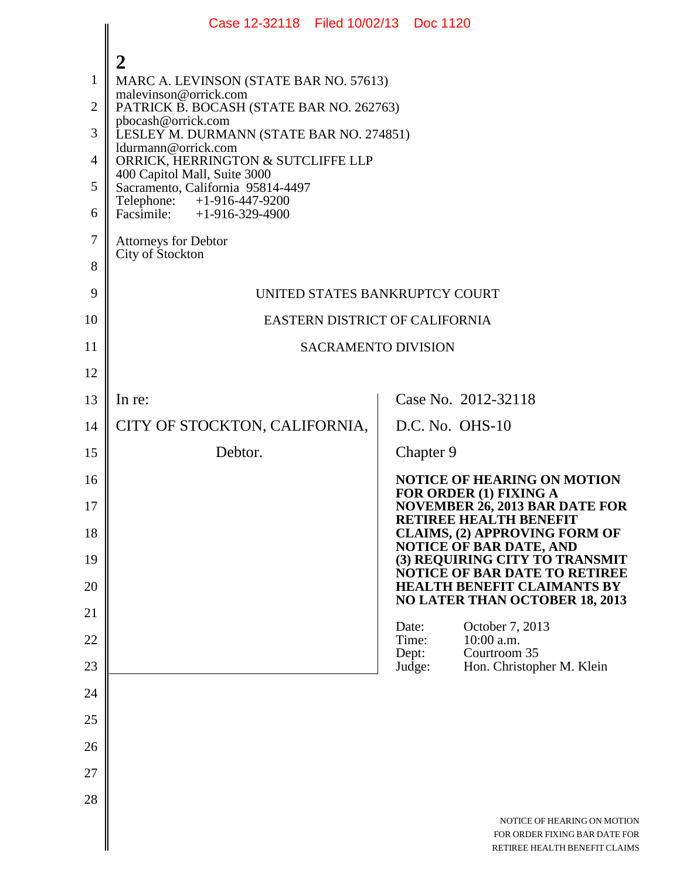|                | Case 12-32118 Filed 10/02/13 Doc 1120                             |                                                                                               |  |
|----------------|-------------------------------------------------------------------|-----------------------------------------------------------------------------------------------|--|
|                | 2                                                                 |                                                                                               |  |
| 1              | MARC A. LEVINSON (STATE BAR NO. 57613)                            |                                                                                               |  |
| $\overline{2}$ | malevinson@orrick.com<br>PATRICK B. BOCASH (STATE BAR NO. 262763) |                                                                                               |  |
| 3              | pbocash@orrick.com<br>LESLEY M. DURMANN (STATE BAR NO. 274851)    |                                                                                               |  |
| 4              | ldurmann@orrick.com<br>ORRICK, HERRINGTON & SUTCLIFFE LLP         |                                                                                               |  |
| 5              | 400 Capitol Mall, Suite 3000<br>Sacramento, California 95814-4497 |                                                                                               |  |
| 6              | Telephone: $+1-916-447-9200$<br>Facsimile: $+1-916-329-4900$      |                                                                                               |  |
| 7              | <b>Attorneys for Debtor</b>                                       |                                                                                               |  |
| 8              | City of Stockton                                                  |                                                                                               |  |
| 9              | UNITED STATES BANKRUPTCY COURT                                    |                                                                                               |  |
| 10             | EASTERN DISTRICT OF CALIFORNIA                                    |                                                                                               |  |
| 11             | <b>SACRAMENTO DIVISION</b>                                        |                                                                                               |  |
| 12             |                                                                   |                                                                                               |  |
| 13             | In re:                                                            | Case No. 2012-32118                                                                           |  |
| 14             | CITY OF STOCKTON, CALIFORNIA,                                     | $D.C. No. OHS-10$                                                                             |  |
| 15             | Debtor.                                                           | Chapter 9                                                                                     |  |
| 16             |                                                                   | <b>NOTICE OF HEARING ON MOTION</b><br><b>FOR ORDER (1) FIXING A</b>                           |  |
| 17             |                                                                   | <b>NOVEMBER 26, 2013 BAR DATE FOR</b><br>RETIREE HEALTH BENEFIT                               |  |
| 18             |                                                                   | <b>CLAIMS, (2) APPROVING FORM OF</b><br>NOTICE OF BAR DATE, AND                               |  |
| 19             |                                                                   | (3) REQUIRING CITY TO TRANSMIT<br>NOTICE OF BAR DATE TO RETIREE                               |  |
| 20             |                                                                   | <b>HEALTH BENEFIT CLAIMANTS BY</b><br><b>NO LATER THAN OCTOBER 18, 2013</b>                   |  |
| 21             |                                                                   | October 7, 2013<br>Date:                                                                      |  |
| 22             |                                                                   | 10:00 a.m.<br>Time:<br>Courtroom 35<br>Dept:                                                  |  |
| 23             |                                                                   | Judge:<br>Hon. Christopher M. Klein                                                           |  |
| 24             |                                                                   |                                                                                               |  |
| 25             |                                                                   |                                                                                               |  |
| 26             |                                                                   |                                                                                               |  |
| 27             |                                                                   |                                                                                               |  |
| 28             |                                                                   |                                                                                               |  |
|                |                                                                   | NOTICE OF HEARING ON MOTION<br>FOR ORDER FIXING BAR DATE FOR<br>RETIREE HEALTH BENEFIT CLAIMS |  |